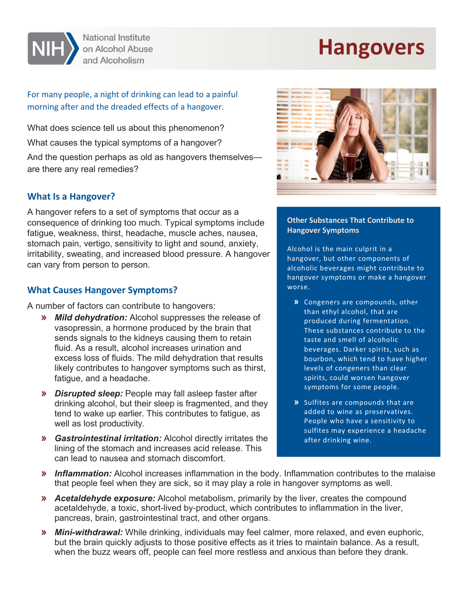

**National Institute** on Alcohol Abuse and Alcoholism

# **Hangovers**

## For many people, a night of drinking can lead to a painful morning after and the dreaded effects of a hangover.

What does science tell us about this phenomenon? What causes the typical symptoms of a hangover?

And the question perhaps as old as hangovers themselves are there any real remedies?

#### **What Is a Hangover?**

A hangover refers to a set of symptoms that occur as a consequence of drinking too much. Typical symptoms include fatigue, weakness, thirst, headache, muscle aches, nausea, stomach pain, vertigo, sensitivity to light and sound, anxiety, irritability, sweating, and increased blood pressure. A hangover can vary from person to person.

## **What Causes Hangover Symptoms?**

A number of factors can contribute to hangovers:

- **»** *Mild dehydration:* Alcohol suppresses the release of vasopressin, a hormone produced by the brain that sends signals to the kidneys causing them to retain fluid. As a result, alcohol increases urination and excess loss of fluids. The mild dehydration that results likely contributes to hangover symptoms such as thirst, fatigue, and a headache.
- **»** *Disrupted sleep:* People may fall asleep faster after drinking alcohol, but their sleep is fragmented, and they tend to wake up earlier. This contributes to fatigue, as well as lost productivity.
- **»** *Gastrointestinal irritation:* Alcohol directly irritates the lining of the stomach and increases acid release. This can lead to nausea and stomach discomfort.



#### **Other Substances That Contribute to Hangover Symptoms**

Alcohol is the main culprit in a hangover, but other components of alcoholic beverages might contribute to hangover symptoms or make a hangover worse.

- **»** Congeners are compounds, other than ethyl alcohol, that are produced during fermentation. These substances contribute to the taste and smell of alcoholic beverages. Darker spirits, such as bourbon, which tend to have higher levels of congeners than clear spirits, could worsen hangover symptoms for some people.
- **»** Sulfites are compounds that are added to wine as preservatives. People who have a sensitivity to sulfites may experience a headache after drinking wine.
- **»** *Inflammation:* Alcohol increases inflammation in the body. Inflammation contributes to the malaise that people feel when they are sick, so it may play a role in hangover symptoms as well.
- **»** *Acetaldehyde exposure:* Alcohol metabolism, primarily by the liver, creates the compound acetaldehyde, a toxic, short-lived by-product, which contributes to inflammation in the liver, pancreas, brain, gastrointestinal tract, and other organs.
- **»** *Mini-withdrawal:* While drinking, individuals may feel calmer, more relaxed, and even euphoric, but the brain quickly adjusts to those positive effects as it tries to maintain balance. As a result, when the buzz wears off, people can feel more restless and anxious than before they drank.